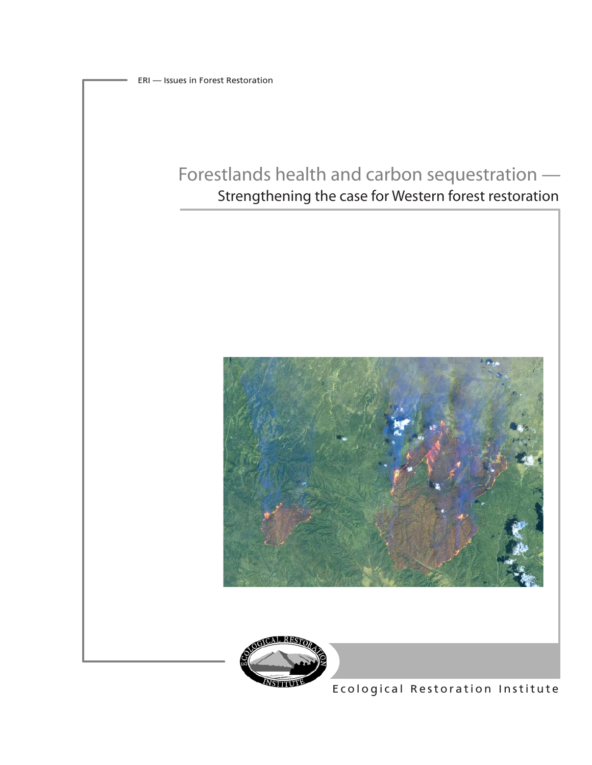# Forestlands health and carbon sequestration — Strengthening the case for Western forest restoration





Ecological Restoration Institute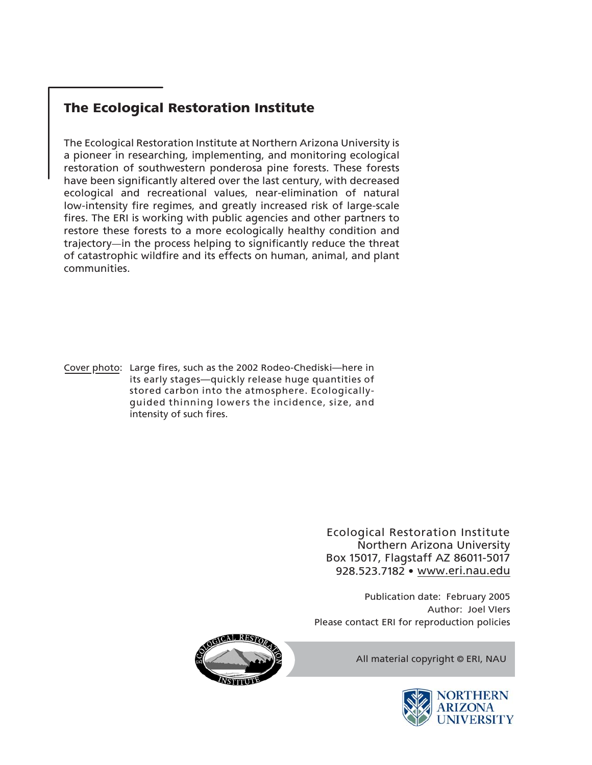# The Ecological Restoration Institute

The Ecological Restoration Institute at Northern Arizona University is a pioneer in researching, implementing, and monitoring ecological restoration of southwestern ponderosa pine forests. These forests have been significantly altered over the last century, with decreased ecological and recreational values, near-elimination of natural low-intensity fire regimes, and greatly increased risk of large-scale fires. The ERI is working with public agencies and other partners to restore these forests to a more ecologically healthy condition and trajectory—in the process helping to significantly reduce the threat of catastrophic wildfire and its effects on human, animal, and plant communities.

Cover photo: Large fires, such as the 2002 Rodeo-Chediski—here in its early stages—quickly release huge quantities of stored carbon into the atmosphere. Ecologicallyguided thinning lowers the incidence, size, and intensity of such fires.

> Ecological Restoration Institute Northern Arizona University Box 15017, Flagstaff AZ 86011-5017 928.523.7182 www.eri.nau.edu **•**

Please contact ERI for reproduction policies Author: Joel VIers Publication date: February 2005



All material copyright ©ERI, NAU

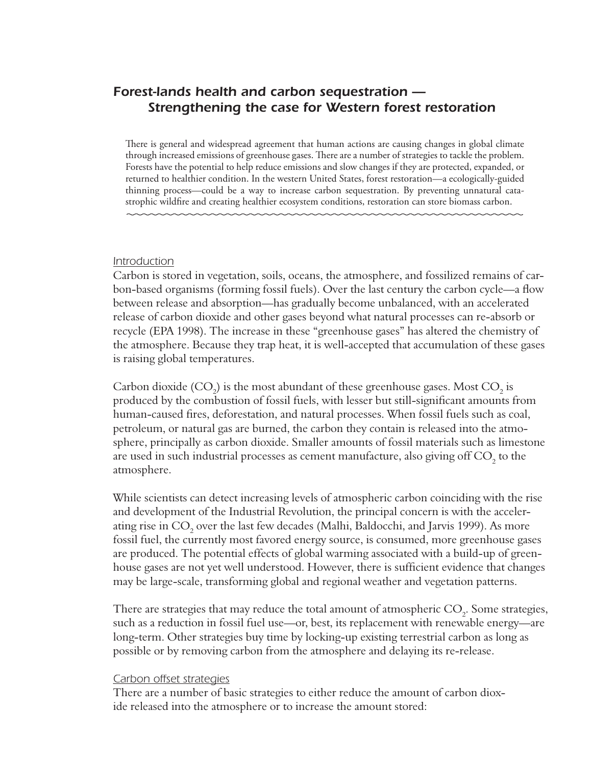# Forest-lands health and carbon sequestration -Strengthening the case for Western forest restoration

There is general and widespread agreement that human actions are causing changes in global climate through increased emissions of greenhouse gases. There are a number of strategies to tackle the problem. Forests have the potential to help reduce emissions and slow changes if they are protected, expanded, or returned to healthier condition. In the western United States, forest restoration—a ecologically-guided thinning process—could be a way to increase carbon sequestration. By preventing unnatural catastrophic wildfire and creating healthier ecosystem conditions, restoration can store biomass carbon.

#### Introduction

Carbon is stored in vegetation, soils, oceans, the atmosphere, and fossilized remains of carbon-based organisms (forming fossil fuels). Over the last century the carbon cycle—a flow between release and absorption—has gradually become unbalanced, with an accelerated release of carbon dioxide and other gases beyond what natural processes can re-absorb or recycle (EPA 1998). The increase in these "greenhouse gases" has altered the chemistry of the atmosphere. Because they trap heat, it is well-accepted that accumulation of these gases is raising global temperatures.

Carbon dioxide  $(CO<sub>2</sub>)$  is the most abundant of these greenhouse gases. Most  $CO<sub>2</sub>$  is produced by the combustion of fossil fuels, with lesser but still-significant amounts from human-caused fires, deforestation, and natural processes. When fossil fuels such as coal, petroleum, or natural gas are burned, the carbon they contain is released into the atmosphere, principally as carbon dioxide. Smaller amounts of fossil materials such as limestone are used in such industrial processes as cement manufacture, also giving off CO<sub>2</sub> to the atmosphere.

While scientists can detect increasing levels of atmospheric carbon coinciding with the rise and development of the Industrial Revolution, the principal concern is with the accelerating rise in CO<sub>2</sub> over the last few decades (Malhi, Baldocchi, and Jarvis 1999). As more fossil fuel, the currently most favored energy source, is consumed, more greenhouse gases are produced. The potential effects of global warming associated with a build-up of greenhouse gases are not yet well understood. However, there is sufficient evidence that changes may be large-scale, transforming global and regional weather and vegetation patterns.

There are strategies that may reduce the total amount of atmospheric CO<sub>2</sub>. Some strategies, such as a reduction in fossil fuel use—or, best, its replacement with renewable energy—are long-term. Other strategies buy time by locking-up existing terrestrial carbon as long as possible or by removing carbon from the atmosphere and delaying its re-release.

#### Carbon offset strategies

There are a number of basic strategies to either reduce the amount of carbon dioxide released into the atmosphere or to increase the amount stored: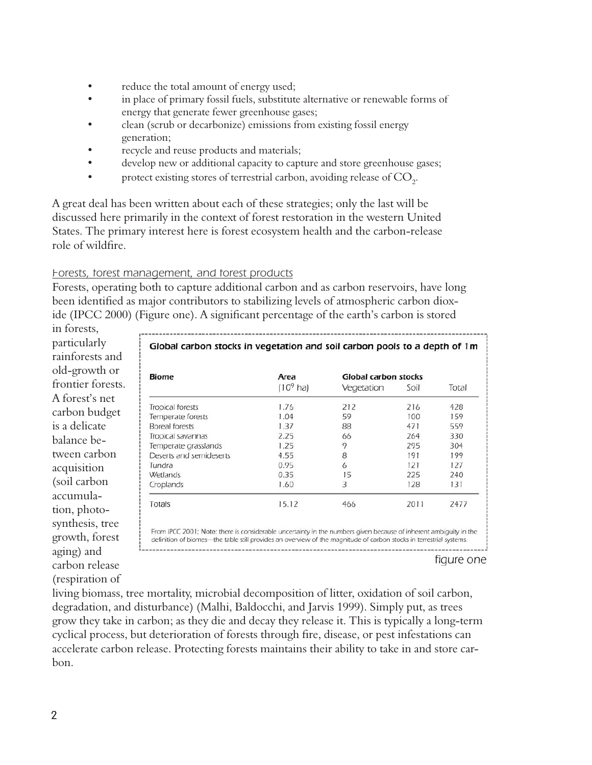- reduce the total amount of energy used;
- in place of primary fossil fuels, substitute alternative or renewable forms of energy that generate fewer greenhouse gases;
- clean (scrub or decarbonize) emissions from existing fossil energy generation;
- recycle and reuse products and materials;
- develop new or additional capacity to capture and store greenhouse gases;
- protect existing stores of terrestrial carbon, avoiding release of CO<sub>2</sub>.

A great deal has been written about each of these strategies; only the last will be discussed here primarily in the context of forest restoration in the western United States. The primary interest here is forest ecosystem health and the carbon-release role of wildfire.

# Forests, forest management, and forest products

Forests, operating both to capture additional carbon and as carbon reservoirs, have long been identified as major contributors to stabilizing levels of atmospheric carbon dioxide (IPCC 2000) (Figure one). A significant percentage of the earth's carbon is stored

in forests. particularly rainforests and old-growth or frontier forests. A forest's net carbon budget is a delicate balance between carbon acquisition (soil carbon accumulation, photosynthesis, tree growth, forest aging) and carbon release (respiration of

| <b>Biome</b>            | Area<br>$(109$ ha) | <b>Global carbon stocks</b> |      |       |
|-------------------------|--------------------|-----------------------------|------|-------|
|                         |                    | Vegetation                  | Soil | Total |
| Tropical forests        | 1.76               | 212                         | 216  | 428   |
| Temperate forests       | 1.04               | 59                          | 100  | 159   |
| Boreal forests          | 1.37               | 88                          | 471  | 559   |
| Tropical savannas       | 2.25               | 66                          | 264  | 330   |
| Temperate grasslands    | 1.25               | 9                           | 295  | 304   |
| Deserts and semideserts | 4.55               | 8                           | 191  | 199   |
| Tundra                  | 0.95               | 6                           | 121  | 127   |
| Wetlands                | 0.35               | 15                          | 225  | 240   |
| Croplands               | 1.60               | 3                           | 128  | 131   |
| Totals                  | 15.12              | 466                         | 2011 | 2477  |

figure one

living biomass, tree mortality, microbial decomposition of litter, oxidation of soil carbon, degradation, and disturbance) (Malhi, Baldocchi, and Jarvis 1999). Simply put, as trees grow they take in carbon; as they die and decay they release it. This is typically a long-term cyclical process, but deterioration of forests through fire, disease, or pest infestations can accelerate carbon release. Protecting forests maintains their ability to take in and store carbon.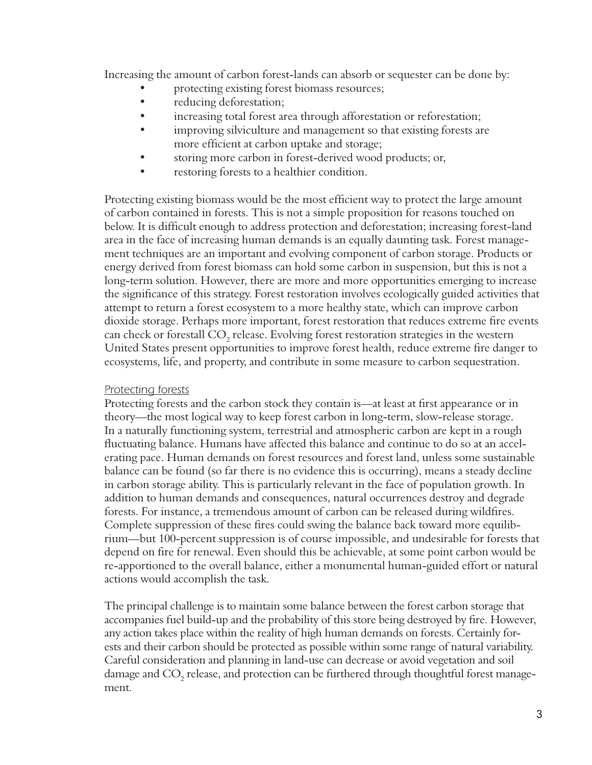Increasing the amount of carbon forest-lands can absorb or sequester can be done by:

- protecting existing forest biomass resources;
- reducing deforestation;
- increasing total forest area through afforestation or reforestation;  $\bullet$
- improving silviculture and management so that existing forests are more efficient at carbon uptake and storage;
- storing more carbon in forest-derived wood products; or,
- restoring forests to a healthier condition.

Protecting existing biomass would be the most efficient way to protect the large amount of carbon contained in forests. This is not a simple proposition for reasons touched on below. It is difficult enough to address protection and deforestation; increasing forest-land area in the face of increasing human demands is an equally daunting task. Forest management techniques are an important and evolving component of carbon storage. Products or energy derived from forest biomass can hold some carbon in suspension, but this is not a long-term solution. However, there are more and more opportunities emerging to increase the significance of this strategy. Forest restoration involves ecologically guided activities that attempt to return a forest ecosystem to a more healthy state, which can improve carbon dioxide storage. Perhaps more important, forest restoration that reduces extreme fire events can check or forestall CO<sub>2</sub> release. Evolving forest restoration strategies in the western United States present opportunities to improve forest health, reduce extreme fire danger to ecosystems, life, and property, and contribute in some measure to carbon sequestration.

# Protecting forests

Protecting forests and the carbon stock they contain is—at least at first appearance or in theory—the most logical way to keep forest carbon in long-term, slow-release storage. In a naturally functioning system, terrestrial and atmospheric carbon are kept in a rough fluctuating balance. Humans have affected this balance and continue to do so at an accelerating pace. Human demands on forest resources and forest land, unless some sustainable balance can be found (so far there is no evidence this is occurring), means a steady decline in carbon storage ability. This is particularly relevant in the face of population growth. In addition to human demands and consequences, natural occurrences destroy and degrade forests. For instance, a tremendous amount of carbon can be released during wildfires. Complete suppression of these fires could swing the balance back toward more equilibrium—but 100-percent suppression is of course impossible, and undesirable for forests that depend on fire for renewal. Even should this be achievable, at some point carbon would be re-apportioned to the overall balance, either a monumental human-guided effort or natural actions would accomplish the task.

The principal challenge is to maintain some balance between the forest carbon storage that accompanies fuel build-up and the probability of this store being destroyed by fire. However, any action takes place within the reality of high human demands on forests. Certainly forests and their carbon should be protected as possible within some range of natural variability. Careful consideration and planning in land-use can decrease or avoid vegetation and soil damage and CO<sub>2</sub> release, and protection can be furthered through thoughtful forest management.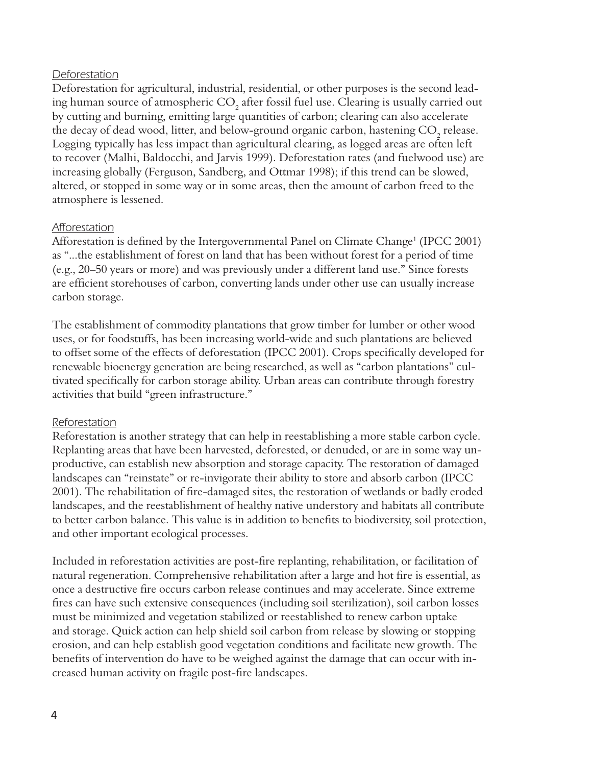## Deforestation

Deforestation for agricultural, industrial, residential, or other purposes is the second leading human source of atmospheric CO<sub>2</sub> after fossil fuel use. Clearing is usually carried out by cutting and burning, emitting large quantities of carbon; clearing can also accelerate the decay of dead wood, litter, and below-ground organic carbon, hastening CO<sub>2</sub> release. Logging typically has less impact than agricultural clearing, as logged areas are often left to recover (Malhi, Baldocchi, and Jarvis 1999). Deforestation rates (and fuelwood use) are increasing globally (Ferguson, Sandberg, and Ottmar 1998); if this trend can be slowed, altered, or stopped in some way or in some areas, then the amount of carbon freed to the atmosphere is lessened.

# Afforestation

Afforestation is defined by the Intergovernmental Panel on Climate Change<sup>1</sup> (IPCC 2001) as "...the establishment of forest on land that has been without forest for a period of time (e.g., 20–50 years or more) and was previously under a different land use." Since forests are efficient storehouses of carbon, converting lands under other use can usually increase carbon storage.

The establishment of commodity plantations that grow timber for lumber or other wood uses, or for foodstuffs, has been increasing world-wide and such plantations are believed to offset some of the effects of deforestation (IPCC 2001). Crops specifically developed for renewable bioenergy generation are being researched, as well as "carbon plantations" cultivated specifically for carbon storage ability. Urban areas can contribute through forestry activities that build "green infrastructure."

## Reforestation

Reforestation is another strategy that can help in reestablishing a more stable carbon cycle. Replanting areas that have been harvested, deforested, or denuded, or are in some way unproductive, can establish new absorption and storage capacity. The restoration of damaged landscapes can "reinstate" or re-invigorate their ability to store and absorb carbon (IPCC 2001). The rehabilitation of fire-damaged sites, the restoration of wetlands or badly eroded landscapes, and the reestablishment of healthy native understory and habitats all contribute to better carbon balance. This value is in addition to benefits to biodiversity, soil protection, and other important ecological processes.

Included in reforestation activities are post-fire replanting, rehabilitation, or facilitation of natural regeneration. Comprehensive rehabilitation after a large and hot fire is essential, as once a destructive fire occurs carbon release continues and may accelerate. Since extreme fires can have such extensive consequences (including soil sterilization), soil carbon losses must be minimized and vegetation stabilized or reestablished to renew carbon uptake and storage. Quick action can help shield soil carbon from release by slowing or stopping erosion, and can help establish good vegetation conditions and facilitate new growth. The benefits of intervention do have to be weighed against the damage that can occur with increased human activity on fragile post-fire landscapes.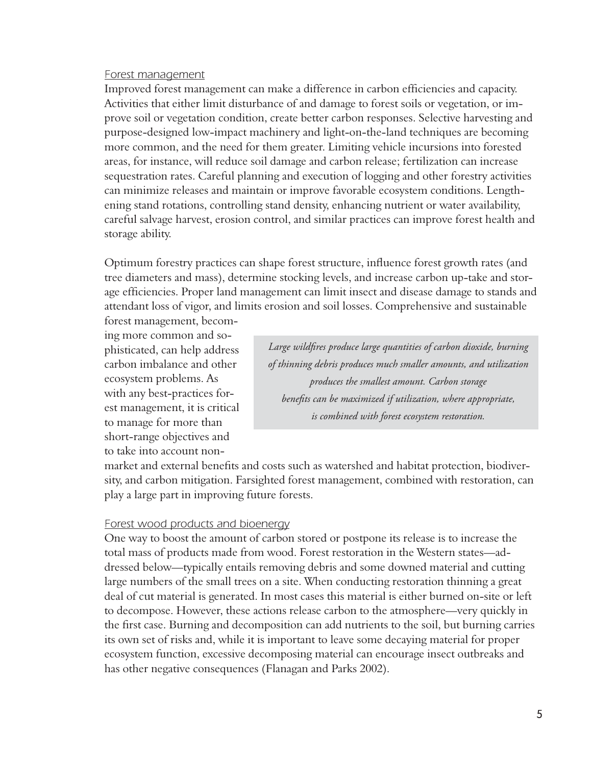#### Forest management

Improved forest management can make a difference in carbon efficiencies and capacity. Activities that either limit disturbance of and damage to forest soils or vegetation, or improve soil or vegetation condition, create better carbon responses. Selective harvesting and purpose-designed low-impact machinery and light-on-the-land techniques are becoming more common, and the need for them greater. Limiting vehicle incursions into forested areas, for instance, will reduce soil damage and carbon release; fertilization can increase sequestration rates. Careful planning and execution of logging and other forestry activities can minimize releases and maintain or improve favorable ecosystem conditions. Lengthening stand rotations, controlling stand density, enhancing nutrient or water availability, careful salvage harvest, erosion control, and similar practices can improve forest health and storage ability.

Optimum forestry practices can shape forest structure, influence forest growth rates (and tree diameters and mass), determine stocking levels, and increase carbon up-take and storage efficiencies. Proper land management can limit insect and disease damage to stands and attendant loss of vigor, and limits erosion and soil losses. Comprehensive and sustainable

forest management, becoming more common and sophisticated, can help address carbon imbalance and other ecosystem problems. As with any best-practices forest management, it is critical to manage for more than short-range objectives and to take into account non-

Large wildfires produce large quantities of carbon dioxide, burning of thinning debris produces much smaller amounts, and utilization produces the smallest amount. Carbon storage benefits can be maximized if utilization, where appropriate, is combined with forest ecosystem restoration.

market and external benefits and costs such as watershed and habitat protection, biodiversity, and carbon mitigation. Farsighted forest management, combined with restoration, can play a large part in improving future forests.

#### Forest wood products and bioenergy

One way to boost the amount of carbon stored or postpone its release is to increase the total mass of products made from wood. Forest restoration in the Western states-addressed below—typically entails removing debris and some downed material and cutting large numbers of the small trees on a site. When conducting restoration thinning a great deal of cut material is generated. In most cases this material is either burned on-site or left to decompose. However, these actions release carbon to the atmosphere—very quickly in the first case. Burning and decomposition can add nutrients to the soil, but burning carries its own set of risks and, while it is important to leave some decaying material for proper ecosystem function, excessive decomposing material can encourage insect outbreaks and has other negative consequences (Flanagan and Parks 2002).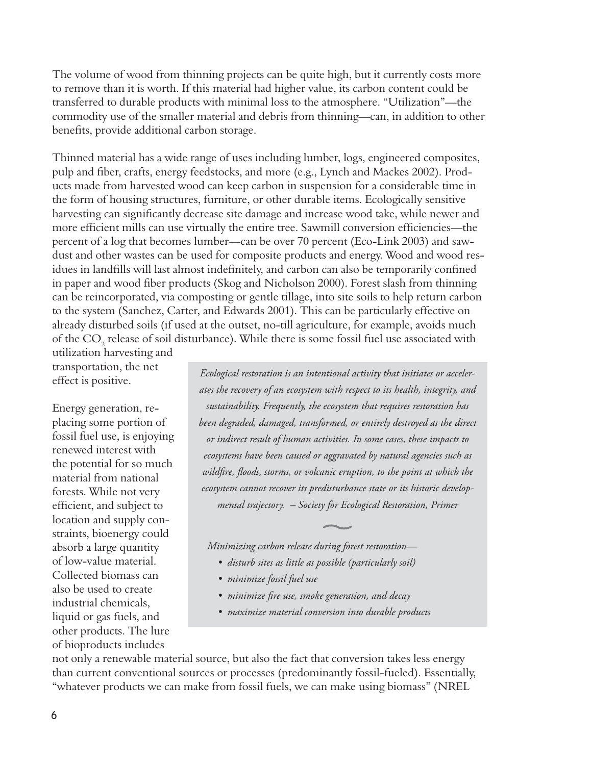The volume of wood from thinning projects can be quite high, but it currently costs more to remove than it is worth. If this material had higher value, its carbon content could be transferred to durable products with minimal loss to the atmosphere. "Utilization"—the commodity use of the smaller material and debris from thinning—can, in addition to other benefits, provide additional carbon storage.

Thinned material has a wide range of uses including lumber, logs, engineered composites, pulp and fiber, crafts, energy feedstocks, and more (e.g., Lynch and Mackes 2002). Products made from harvested wood can keep carbon in suspension for a considerable time in the form of housing structures, furniture, or other durable items. Ecologically sensitive harvesting can significantly decrease site damage and increase wood take, while newer and more efficient mills can use virtually the entire tree. Sawmill conversion efficiencies—the percent of a log that becomes lumber—can be over 70 percent (Eco-Link 2003) and sawdust and other wastes can be used for composite products and energy. Wood and wood residues in landfills will last almost indefinitely, and carbon can also be temporarily confined in paper and wood fiber products (Skog and Nicholson 2000). Forest slash from thinning can be reincorporated, via composting or gentle tillage, into site soils to help return carbon to the system (Sanchez, Carter, and Edwards 2001). This can be particularly effective on already disturbed soils (if used at the outset, no-till agriculture, for example, avoids much of the CO<sub>2</sub> release of soil disturbance). While there is some fossil fuel use associated with

utilization harvesting and transportation, the net effect is positive.

Energy generation, replacing some portion of fossil fuel use, is enjoying renewed interest with the potential for so much material from national forests. While not very efficient, and subject to location and supply constraints, bioenergy could absorb a large quantity of low-value material. Collected biomass can also be used to create industrial chemicals, liquid or gas fuels, and other products. The lure of bioproducts includes

Ecological restoration is an intentional activity that initiates or accelerates the recovery of an ecosystem with respect to its health, integrity, and sustainability. Frequently, the ecosystem that requires restoration has been degraded, damaged, transformed, or entirely destroyed as the direct or indirect result of human activities. In some cases, these impacts to ecosystems have been caused or aggravated by natural agencies such as wildfire, floods, storms, or volcanic eruption, to the point at which the ecosystem cannot recover its predisturbance state or its historic developmental trajectory. - Society for Ecological Restoration, Primer

Minimizing carbon release during forest restoration-

- · disturb sites as little as possible (particularly soil)
- · minimize fossil fuel use
- · minimize fire use, smoke generation, and decay
- · maximize material conversion into durable products

not only a renewable material source, but also the fact that conversion takes less energy than current conventional sources or processes (predominantly fossil-fueled). Essentially, "whatever products we can make from fossil fuels, we can make using biomass" (NREL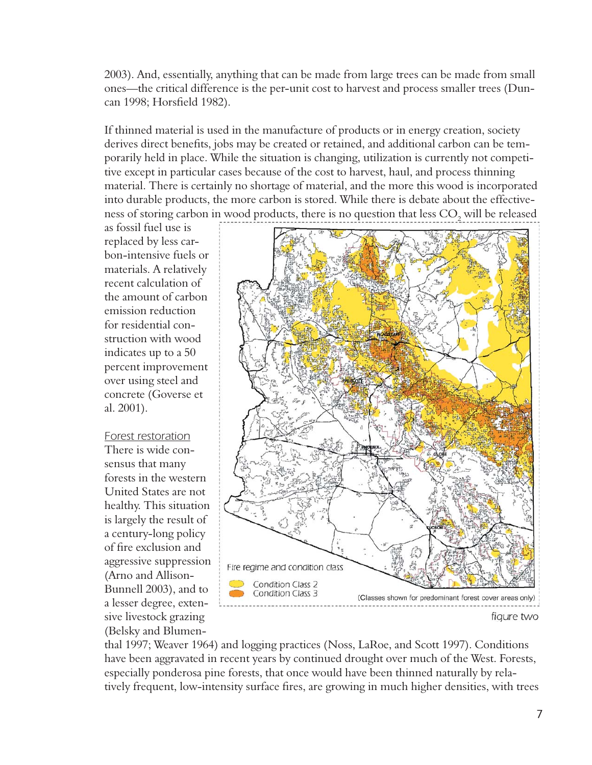2003). And, essentially, anything that can be made from large trees can be made from small ones—the critical difference is the per-unit cost to harvest and process smaller trees (Duncan 1998; Horsfield 1982).

If thinned material is used in the manufacture of products or in energy creation, society derives direct benefits, jobs may be created or retained, and additional carbon can be temporarily held in place. While the situation is changing, utilization is currently not competitive except in particular cases because of the cost to harvest, haul, and process thinning material. There is certainly no shortage of material, and the more this wood is incorporated into durable products, the more carbon is stored. While there is debate about the effectiveness of storing carbon in wood products, there is no question that less CO<sub>2</sub> will be released

as fossil fuel use is replaced by less carbon-intensive fuels or materials. A relatively recent calculation of the amount of carbon emission reduction for residential construction with wood indicates up to a 50 percent improvement over using steel and concrete (Goverse et al.  $2001$ ).

Forest restoration There is wide consensus that many forests in the western United States are not healthy. This situation is largely the result of a century-long policy of fire exclusion and aggressive suppression (Arno and Allison-Bunnell 2003), and to a lesser degree, extensive livestock grazing (Belsky and Blumen-



thal 1997; Weaver 1964) and logging practices (Noss, LaRoe, and Scott 1997). Conditions have been aggravated in recent years by continued drought over much of the West. Forests, especially ponderosa pine forests, that once would have been thinned naturally by relatively frequent, low-intensity surface fires, are growing in much higher densities, with trees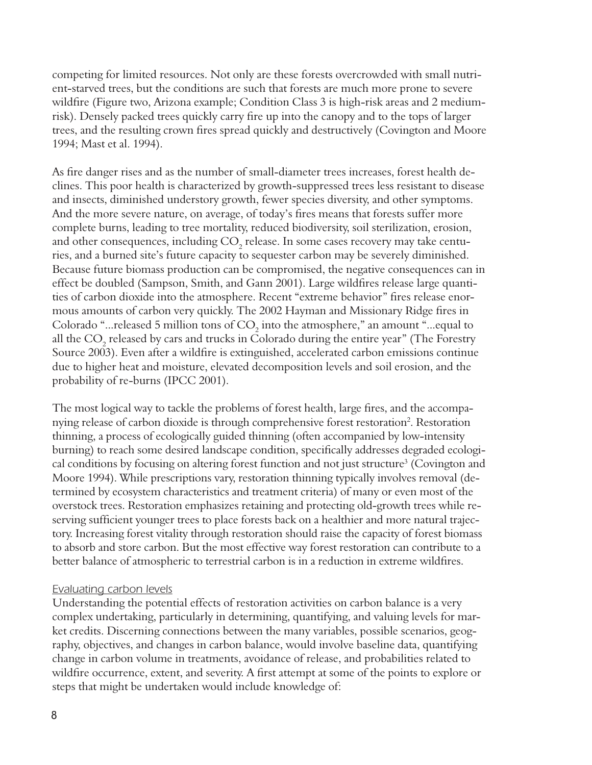competing for limited resources. Not only are these forests overcrowded with small nutrient-starved trees, but the conditions are such that forests are much more prone to severe wildfire (Figure two, Arizona example; Condition Class 3 is high-risk areas and 2 mediumrisk). Densely packed trees quickly carry fire up into the canopy and to the tops of larger trees, and the resulting crown fires spread quickly and destructively (Covington and Moore 1994; Mast et al. 1994).

As fire danger rises and as the number of small-diameter trees increases, forest health declines. This poor health is characterized by growth-suppressed trees less resistant to disease and insects, diminished understory growth, fewer species diversity, and other symptoms. And the more severe nature, on average, of today's fires means that forests suffer more complete burns, leading to tree mortality, reduced biodiversity, soil sterilization, erosion, and other consequences, including  $CO<sub>2</sub>$  release. In some cases recovery may take centuries, and a burned site's future capacity to sequester carbon may be severely diminished. Because future biomass production can be compromised, the negative consequences can in effect be doubled (Sampson, Smith, and Gann 2001). Large wildfires release large quantities of carbon dioxide into the atmosphere. Recent "extreme behavior" fires release enormous amounts of carbon very quickly. The 2002 Hayman and Missionary Ridge fires in Colorado "... released 5 million tons of  $CO<sub>2</sub>$  into the atmosphere," an amount "... equal to all the CO<sub>2</sub> released by cars and trucks in Colorado during the entire year" (The Forestry Source 2003). Even after a wildfire is extinguished, accelerated carbon emissions continue due to higher heat and moisture, elevated decomposition levels and soil erosion, and the probability of re-burns (IPCC 2001).

The most logical way to tackle the problems of forest health, large fires, and the accompanying release of carbon dioxide is through comprehensive forest restoration<sup>2</sup>. Restoration thinning, a process of ecologically guided thinning (often accompanied by low-intensity burning) to reach some desired landscape condition, specifically addresses degraded ecological conditions by focusing on altering forest function and not just structure<sup>3</sup> (Covington and Moore 1994). While prescriptions vary, restoration thinning typically involves removal (determined by ecosystem characteristics and treatment criteria) of many or even most of the overstock trees. Restoration emphasizes retaining and protecting old-growth trees while reserving sufficient younger trees to place forests back on a healthier and more natural trajectory. Increasing forest vitality through restoration should raise the capacity of forest biomass to absorb and store carbon. But the most effective way forest restoration can contribute to a better balance of atmospheric to terrestrial carbon is in a reduction in extreme wildfires.

## **Evaluating carbon levels**

Understanding the potential effects of restoration activities on carbon balance is a very complex undertaking, particularly in determining, quantifying, and valuing levels for market credits. Discerning connections between the many variables, possible scenarios, geography, objectives, and changes in carbon balance, would involve baseline data, quantifying change in carbon volume in treatments, avoidance of release, and probabilities related to wildfire occurrence, extent, and severity. A first attempt at some of the points to explore or steps that might be undertaken would include knowledge of: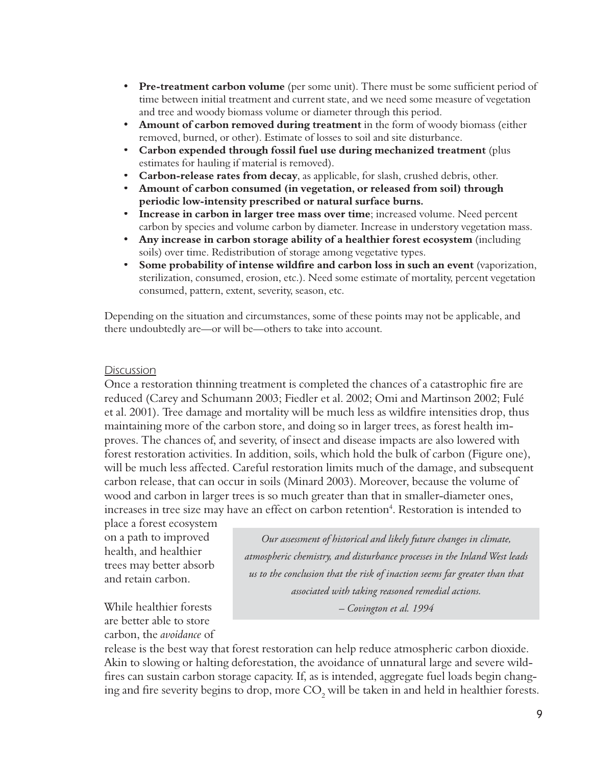- **Pre-treatment carbon volume** (per some unit). There must be some sufficient period of  $\bullet$ time between initial treatment and current state, and we need some measure of vegetation and tree and woody biomass volume or diameter through this period.
- $\bullet$ **Amount of carbon removed during treatment** in the form of woody biomass (either removed, burned, or other). Estimate of losses to soil and site disturbance.
- Carbon expended through fossil fuel use during mechanized treatment (plus estimates for hauling if material is removed).
- **Carbon-release rates from decay**, as applicable, for slash, crushed debris, other.
- $\bullet$ Amount of carbon consumed (in vegetation, or released from soil) through periodic low-intensity prescribed or natural surface burns.
- Increase in carbon in larger tree mass over time; increased volume. Need percent carbon by species and volume carbon by diameter. Increase in understory vegetation mass.
- Any increase in carbon storage ability of a healthier forest ecosystem (including soils) over time. Redistribution of storage among vegetative types.
- Some probability of intense wildfire and carbon loss in such an event (vaporization, sterilization, consumed, erosion, etc.). Need some estimate of mortality, percent vegetation consumed, pattern, extent, severity, season, etc.

Depending on the situation and circumstances, some of these points may not be applicable, and there undoubtedly are—or will be—others to take into account.

#### **Discussion**

Once a restoration thinning treatment is completed the chances of a catastrophic fire are reduced (Carey and Schumann 2003; Fiedler et al. 2002; Omi and Martinson 2002; Fulé et al. 2001). Tree damage and mortality will be much less as wildfire intensities drop, thus maintaining more of the carbon store, and doing so in larger trees, as forest health improves. The chances of, and severity, of insect and disease impacts are also lowered with forest restoration activities. In addition, soils, which hold the bulk of carbon (Figure one), will be much less affected. Careful restoration limits much of the damage, and subsequent carbon release, that can occur in soils (Minard 2003). Moreover, because the volume of wood and carbon in larger trees is so much greater than that in smaller-diameter ones, increases in tree size may have an effect on carbon retention<sup>4</sup>. Restoration is intended to

place a forest ecosystem on a path to improved health, and healthier trees may better absorb and retain carbon.

While healthier forests are better able to store carbon, the *avoidance* of

Our assessment of historical and likely future changes in climate, atmospheric chemistry, and disturbance processes in the Inland West leads us to the conclusion that the risk of inaction seems far greater than that associated with taking reasoned remedial actions. - Covington et al. 1994

release is the best way that forest restoration can help reduce atmospheric carbon dioxide. Akin to slowing or halting deforestation, the avoidance of unnatural large and severe wildfires can sustain carbon storage capacity. If, as is intended, aggregate fuel loads begin changing and fire severity begins to drop, more CO<sub>2</sub> will be taken in and held in healthier forests.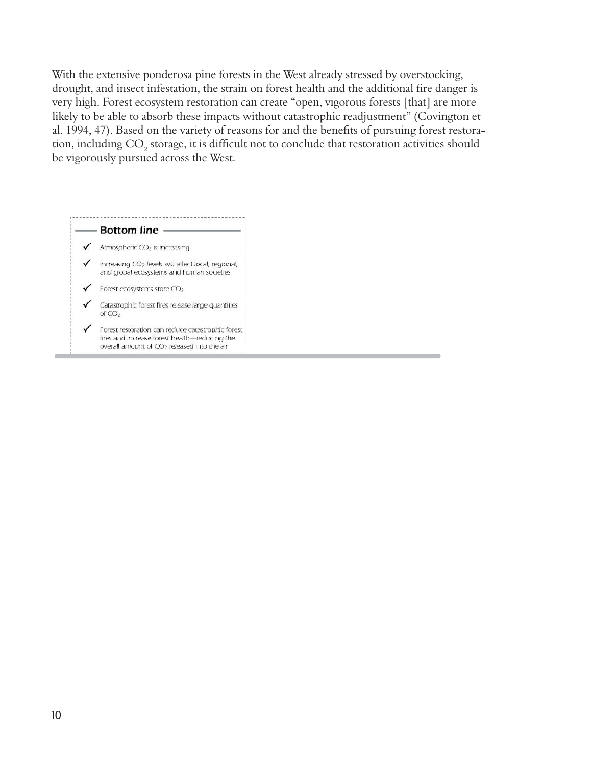With the extensive ponderosa pine forests in the West already stressed by overstocking, drought, and insect infestation, the strain on forest health and the additional fire danger is very high. Forest ecosystem restoration can create "open, vigorous forests [that] are more likely to be able to absorb these impacts without catastrophic readjustment" (Covington et al. 1994, 47). Based on the variety of reasons for and the benefits of pursuing forest restoration, including  $CO<sub>2</sub>$  storage, it is difficult not to conclude that restoration activities should be vigorously pursued across the West.

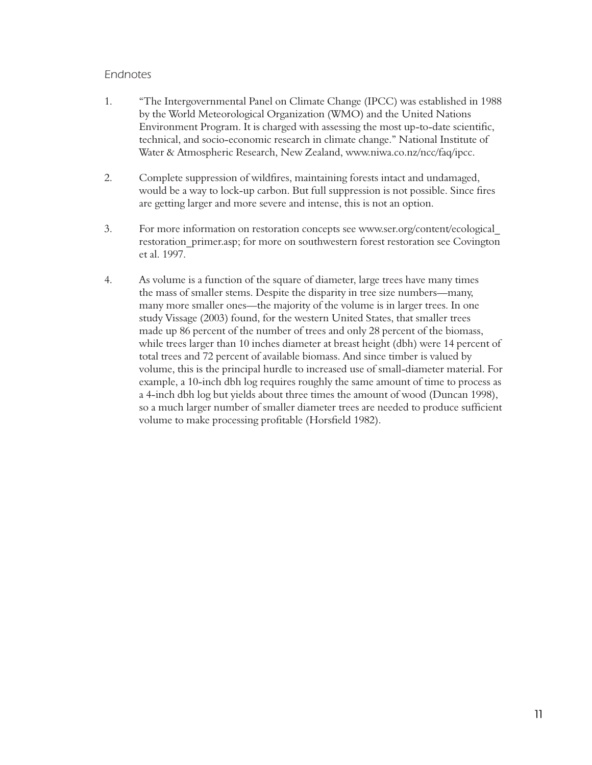# Endnotes

- $1.$ "The Intergovernmental Panel on Climate Change (IPCC) was established in 1988 by the World Meteorological Organization (WMO) and the United Nations Environment Program. It is charged with assessing the most up-to-date scientific, technical, and socio-economic research in climate change." National Institute of Water & Atmospheric Research, New Zealand, www.niwa.co.nz/ncc/faq/ipcc.
- $2.$ Complete suppression of wildfires, maintaining forests intact and undamaged, would be a way to lock-up carbon. But full suppression is not possible. Since fires are getting larger and more severe and intense, this is not an option.
- 3. For more information on restoration concepts see www.ser.org/content/ecological restoration primer.asp; for more on southwestern forest restoration see Covington et al. 1997.
- $4.$ As volume is a function of the square of diameter, large trees have many times the mass of smaller stems. Despite the disparity in tree size numbers—many, many more smaller ones—the majority of the volume is in larger trees. In one study Vissage (2003) found, for the western United States, that smaller trees made up 86 percent of the number of trees and only 28 percent of the biomass, while trees larger than 10 inches diameter at breast height (dbh) were 14 percent of total trees and 72 percent of available biomass. And since timber is valued by volume, this is the principal hurdle to increased use of small-diameter material. For example, a 10-inch dbh log requires roughly the same amount of time to process as a 4-inch dbh log but yields about three times the amount of wood (Duncan 1998), so a much larger number of smaller diameter trees are needed to produce sufficient volume to make processing profitable (Horsfield 1982).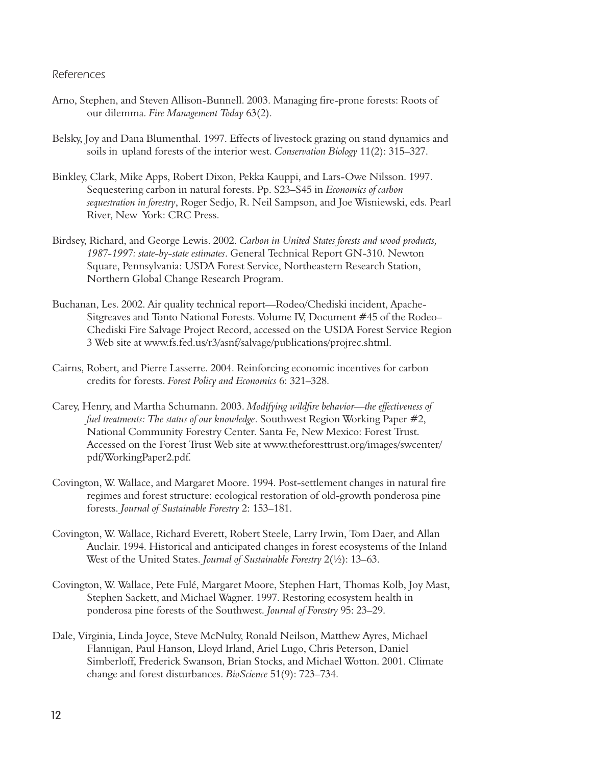#### References

- Arno, Stephen, and Steven Allison-Bunnell. 2003. Managing fire-prone forests: Roots of our dilemma. Fire Management Today 63(2).
- Belsky, Joy and Dana Blumenthal. 1997. Effects of livestock grazing on stand dynamics and soils in upland forests of the interior west. Conservation Biology 11(2): 315-327.
- Binkley, Clark, Mike Apps, Robert Dixon, Pekka Kauppi, and Lars-Owe Nilsson. 1997. Sequestering carbon in natural forests. Pp. S23–S45 in Economics of carbon sequestration in forestry, Roger Sedjo, R. Neil Sampson, and Joe Wisniewski, eds. Pearl River, New York: CRC Press.
- Birdsey, Richard, and George Lewis. 2002. Carbon in United States forests and wood products, 1987-1997: state-by-state estimates. General Technical Report GN-310. Newton Square, Pennsylvania: USDA Forest Service, Northeastern Research Station, Northern Global Change Research Program.
- Buchanan, Les. 2002. Air quality technical report-Rodeo/Chediski incident, Apache-Sitgreaves and Tonto National Forests. Volume IV, Document #45 of the Rodeo-Chediski Fire Salvage Project Record, accessed on the USDA Forest Service Region 3 Web site at www.fs.fed.us/r3/asnf/salvage/publications/projrec.shtml.
- Cairns, Robert, and Pierre Lasserre. 2004. Reinforcing economic incentives for carbon credits for forests. Forest Policy and Economics 6: 321-328.
- Carey, Henry, and Martha Schumann. 2003. Modifying wildfire behavior—the effectiveness of fuel treatments: The status of our knowledge. Southwest Region Working Paper #2, National Community Forestry Center. Santa Fe, New Mexico: Forest Trust. Accessed on the Forest Trust Web site at www.theforesttrust.org/images/swcenter/ pdf/WorkingPaper2.pdf.
- Covington, W. Wallace, and Margaret Moore. 1994. Post-settlement changes in natural fire regimes and forest structure: ecological restoration of old-growth ponderosa pine forests. Journal of Sustainable Forestry 2: 153-181.
- Covington, W. Wallace, Richard Everett, Robert Steele, Larry Irwin, Tom Daer, and Allan Auclair. 1994. Historical and anticipated changes in forest ecosystems of the Inland West of the United States. Journal of Sustainable Forestry  $2(\frac{1}{2})$ : 13–63.
- Covington, W. Wallace, Pete Fulé, Margaret Moore, Stephen Hart, Thomas Kolb, Joy Mast, Stephen Sackett, and Michael Wagner. 1997. Restoring ecosystem health in ponderosa pine forests of the Southwest. Journal of Forestry 95: 23-29.
- Dale, Virginia, Linda Joyce, Steve McNulty, Ronald Neilson, Matthew Ayres, Michael Flannigan, Paul Hanson, Lloyd Irland, Ariel Lugo, Chris Peterson, Daniel Simberloff, Frederick Swanson, Brian Stocks, and Michael Wotton. 2001. Climate change and forest disturbances. BioScience 51(9): 723-734.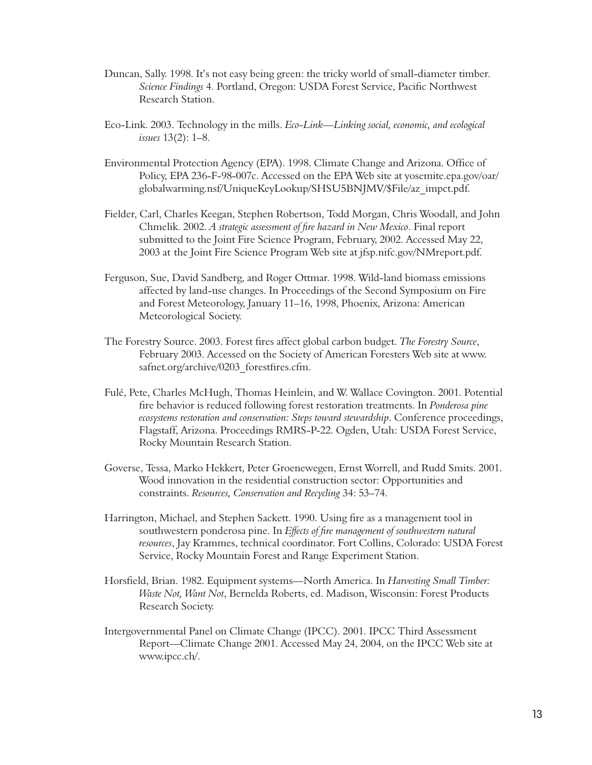- Duncan, Sally. 1998. It's not easy being green: the tricky world of small-diameter timber. Science Findings 4. Portland, Oregon: USDA Forest Service, Pacific Northwest Research Station.
- Eco-Link. 2003. Technology in the mills. Eco-Link—Linking social, economic, and ecological issues 13(2): 1-8.
- Environmental Protection Agency (EPA). 1998. Climate Change and Arizona. Office of Policy, EPA 236-F-98-007c. Accessed on the EPA Web site at yosemite.epa.gov/oar/ globalwarming.nsf/UniqueKeyLookup/SHSU5BNJMV/\$File/az impct.pdf.
- Fielder, Carl, Charles Keegan, Stephen Robertson, Todd Morgan, Chris Woodall, and John Chmelik. 2002. A strategic assessment of fire hazard in New Mexico. Final report submitted to the Joint Fire Science Program, February, 2002. Accessed May 22, 2003 at the Joint Fire Science Program Web site at jfsp.nifc.gov/NMreport.pdf.
- Ferguson, Sue, David Sandberg, and Roger Ottmar. 1998. Wild-land biomass emissions affected by land-use changes. In Proceedings of the Second Symposium on Fire and Forest Meteorology, January 11–16, 1998, Phoenix, Arizona: American Meteorological Society.
- The Forestry Source. 2003. Forest fires affect global carbon budget. The Forestry Source, February 2003. Accessed on the Society of American Foresters Web site at www. safnet.org/archive/0203 forestfires.cfm.
- Fulé, Pete, Charles McHugh, Thomas Heinlein, and W. Wallace Covington. 2001. Potential fire behavior is reduced following forest restoration treatments. In Ponderosa pine ecosystems restoration and conservation: Steps toward stewardship. Conference proceedings, Flagstaff, Arizona. Proceedings RMRS-P-22. Ogden, Utah: USDA Forest Service, Rocky Mountain Research Station.
- Goverse, Tessa, Marko Hekkert, Peter Groenewegen, Ernst Worrell, and Rudd Smits. 2001. Wood innovation in the residential construction sector: Opportunities and constraints. Resources, Conservation and Recycling 34: 53-74.
- Harrington, Michael, and Stephen Sackett. 1990. Using fire as a management tool in southwestern ponderosa pine. In Effects of fire management of southwestern natural resources, Jay Krammes, technical coordinator. Fort Collins, Colorado: USDA Forest Service, Rocky Mountain Forest and Range Experiment Station.
- Horsfield, Brian. 1982. Equipment systems—North America. In Harvesting Small Timber: Waste Not, Want Not, Bernelda Roberts, ed. Madison, Wisconsin: Forest Products Research Society.
- Intergovernmental Panel on Climate Change (IPCC). 2001. IPCC Third Assessment Report—Climate Change 2001. Accessed May 24, 2004, on the IPCC Web site at www.ipcc.ch/.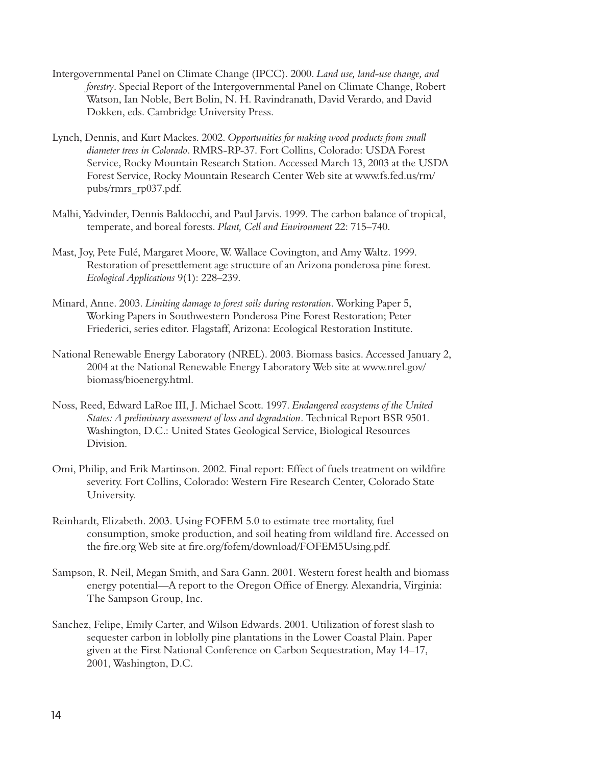- Intergovernmental Panel on Climate Change (IPCC). 2000. Land use, land-use change, and forestry. Special Report of the Intergovernmental Panel on Climate Change, Robert Watson, Ian Noble, Bert Bolin, N. H. Ravindranath, David Verardo, and David Dokken, eds. Cambridge University Press.
- Lynch, Dennis, and Kurt Mackes. 2002. Opportunities for making wood products from small diameter trees in Colorado. RMRS-RP-37. Fort Collins, Colorado: USDA Forest Service, Rocky Mountain Research Station. Accessed March 13, 2003 at the USDA Forest Service, Rocky Mountain Research Center Web site at www.fs.fed.us/rm/ pubs/rmrs rp037.pdf.
- Malhi, Yadvinder, Dennis Baldocchi, and Paul Jarvis. 1999. The carbon balance of tropical, temperate, and boreal forests. Plant, Cell and Environment 22: 715-740.
- Mast, Joy, Pete Fulé, Margaret Moore, W. Wallace Covington, and Amy Waltz. 1999. Restoration of presettlement age structure of an Arizona ponderosa pine forest. Ecological Applications 9(1): 228-239.
- Minard, Anne. 2003. Limiting damage to forest soils during restoration. Working Paper 5, Working Papers in Southwestern Ponderosa Pine Forest Restoration; Peter Friederici, series editor. Flagstaff, Arizona: Ecological Restoration Institute.
- National Renewable Energy Laboratory (NREL). 2003. Biomass basics. Accessed January 2, 2004 at the National Renewable Energy Laboratory Web site at www.nrel.gov/ biomass/bioenergy.html.
- Noss, Reed, Edward LaRoe III, J. Michael Scott. 1997. Endangered ecosystems of the United States: A preliminary assessment of loss and degradation. Technical Report BSR 9501. Washington, D.C.: United States Geological Service, Biological Resources Division.
- Omi, Philip, and Erik Martinson. 2002. Final report: Effect of fuels treatment on wildfire severity. Fort Collins, Colorado: Western Fire Research Center, Colorado State University.
- Reinhardt, Elizabeth. 2003. Using FOFEM 5.0 to estimate tree mortality, fuel consumption, smoke production, and soil heating from wildland fire. Accessed on the fire.org Web site at fire.org/fofem/download/FOFEM5Using.pdf.
- Sampson, R. Neil, Megan Smith, and Sara Gann. 2001. Western forest health and biomass energy potential—A report to the Oregon Office of Energy. Alexandria, Virginia: The Sampson Group, Inc.
- Sanchez, Felipe, Emily Carter, and Wilson Edwards. 2001. Utilization of forest slash to sequester carbon in loblolly pine plantations in the Lower Coastal Plain. Paper given at the First National Conference on Carbon Sequestration, May 14–17, 2001, Washington, D.C.